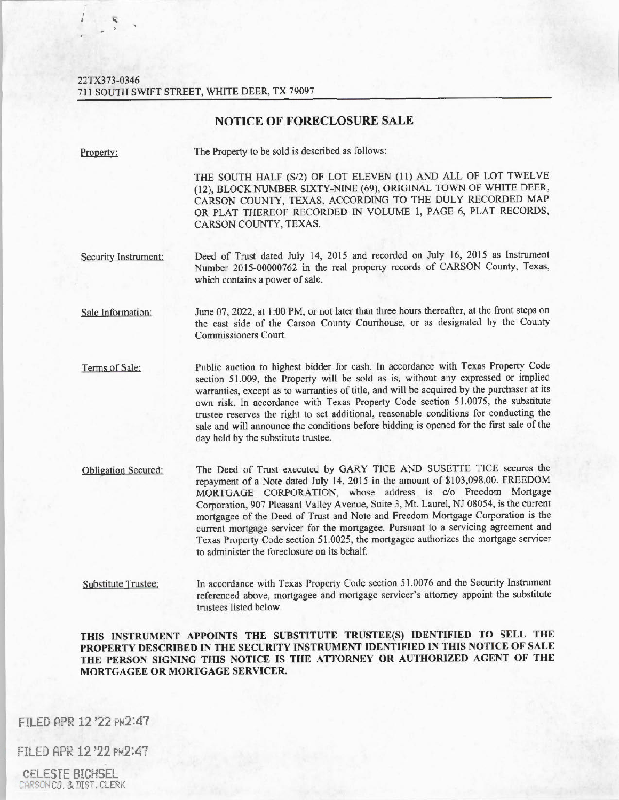## 22TX373-0346 711 SOUTH SWIFT STREET, WHITE DEER, TX 79097

## **NOTICE OF FORECLOSURE SALE**

| Property: |  |
|-----------|--|
|           |  |

The Property to be sold is described as follows:

THE SOUTH HALF (S/2) OF LOT ELEVEN (11) AND ALL OF LOT TWELVE {12), BLOCK NUMBER SIXTY-NINE (69), ORIGINAL TOWN OF WHITE DEER, CARSON COUNTY, TEXAS, ACCORDING TO THE DULY RECORDED MAP OR PLAT THEREOF RECORDED IN VOLUME l, PAGE 6, PLAT RECORDS, CARSON COUNTY, TEXAS.

- Security Instrument: Deed of Trust dated July 14, 2015 and recorded on July 16, 2015 as Instrument Number 2015-00000762 in the real property records of CARSON County, Texas, which contains a power of sale.
- Sale Information: June 07, 2022, at 1:00 PM, or not later than three hours thereafter, at the front steps on the east side of the Carson County Courthouse, or as designated by the County Commissioners Court.
- Terms of Sale: Public auction to highest bidder for cash. In accordance with Texas Property Code section 51.009, the Property will be sold as is, without any expressed or implied warranties, except as to warranties of title, and will be acquired by the purchaser at its own risk. ln accordance with Texas Property Code section 51 .0075, the substitute trustee reserves the right to set additional, reasonable conditions for conducting the sale and will announce the conditions before bidding is opened for the first sale of the day held by the substitute trustee.
- Obligation Secured: The Deed of Trust executed by GARY TICE AND SUSETTE TICE secures the repayment of a Note dated July 14, 2015 in the amount of \$103,098.00. FREEDOM MORTGAGE CORPORATION, whose address is c/o Freedom Mortgage Corporation, 907 Pleasant Valley Avenue, Suite 3, Mt. Laurel, NJ 08054, is the current mortgagee of the Deed of Trust and Note and Freedom Mortgage Corporation is the current mortgage servicer for the mortgagee. Pursuant to a servicing agreement and Texas Property Code section 51.0025, the mortgagee authorizes the mortgage servicer to administer the foreclosure on its behalf.
- Substitute Trustee: In accordance with Texas Property Code section 51.0076 and the Security Instrument referenced above, mortgagee and mortgage servicer's attorney appoint the substitute trustees listed below.

**THIS INSTRUMENT APPOINTS THE SUBSTITUTE TRUSTEE(S) IDENTIFIED TO SELL THE PROPERTY DESCRIBED IN THE SECURITY INSTRUMENT IDENTIFIED IN THIS NOTICE OF SALE THE PERSON SIGNING THIS NOTICE IS THE ATTORNEY OR AUTHORIZED AGENT OF THE MORTGAGEE OR MORTGAGE SERVICER.** 

FILED APR 12 '22 PM2:4?

FILED APR 12 '22 PM2:47

CELESTE BICHSEL CARSON CO. &DIST. CLERK